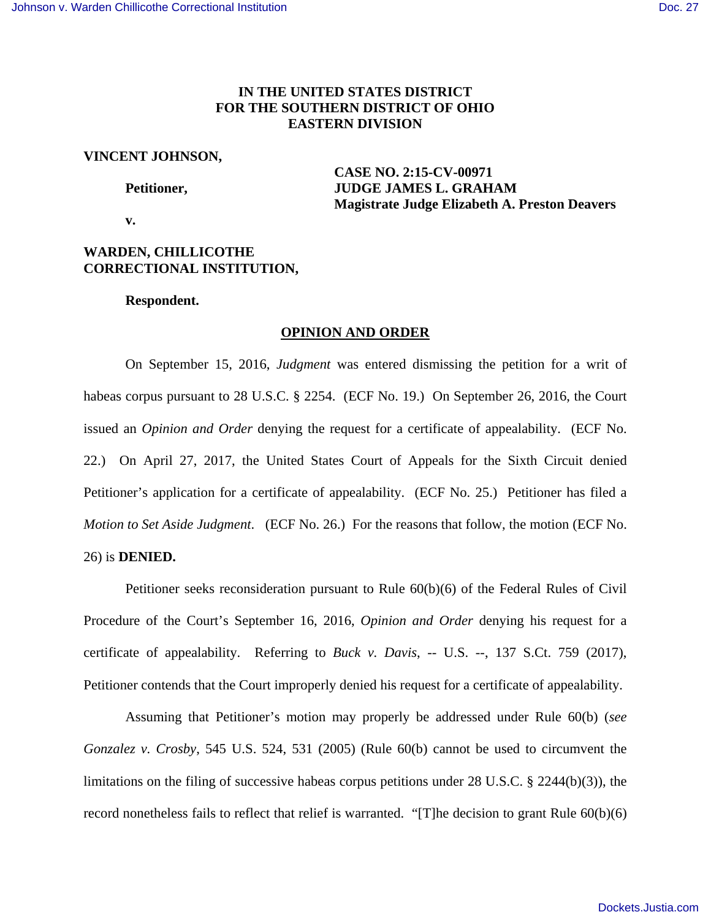# **IN THE UNITED STATES DISTRICT FOR THE SOUTHERN DISTRICT OF OHIO EASTERN DIVISION**

## **VINCENT JOHNSON,**

 **CASE NO. 2:15-CV-00971 Petitioner, Settlem Budget Strategy ATT STRAGE JAMES L. GRAHAM Magistrate Judge Elizabeth A. Preston Deavers** 

 **v.** 

## **WARDEN, CHILLICOTHE CORRECTIONAL INSTITUTION,**

## **Respondent.**

## **OPINION AND ORDER**

 On September 15, 2016, *Judgment* was entered dismissing the petition for a writ of habeas corpus pursuant to 28 U.S.C. § 2254. (ECF No. 19.) On September 26, 2016, the Court issued an *Opinion and Order* denying the request for a certificate of appealability. (ECF No. 22.) On April 27, 2017, the United States Court of Appeals for the Sixth Circuit denied Petitioner's application for a certificate of appealability. (ECF No. 25.) Petitioner has filed a *Motion to Set Aside Judgment*. (ECF No. 26.) For the reasons that follow, the motion (ECF No. 26) is **DENIED.**

 Petitioner seeks reconsideration pursuant to Rule 60(b)(6) of the Federal Rules of Civil Procedure of the Court's September 16, 2016, *Opinion and Order* denying his request for a certificate of appealability. Referring to *Buck v. Davis*, -- U.S. --, 137 S.Ct. 759 (2017), Petitioner contends that the Court improperly denied his request for a certificate of appealability.

 Assuming that Petitioner's motion may properly be addressed under Rule 60(b) (*see Gonzalez v. Crosby*, 545 U.S. 524, 531 (2005) (Rule 60(b) cannot be used to circumvent the limitations on the filing of successive habeas corpus petitions under 28 U.S.C. § 2244(b)(3)), the record nonetheless fails to reflect that relief is warranted. "[T]he decision to grant Rule 60(b)(6)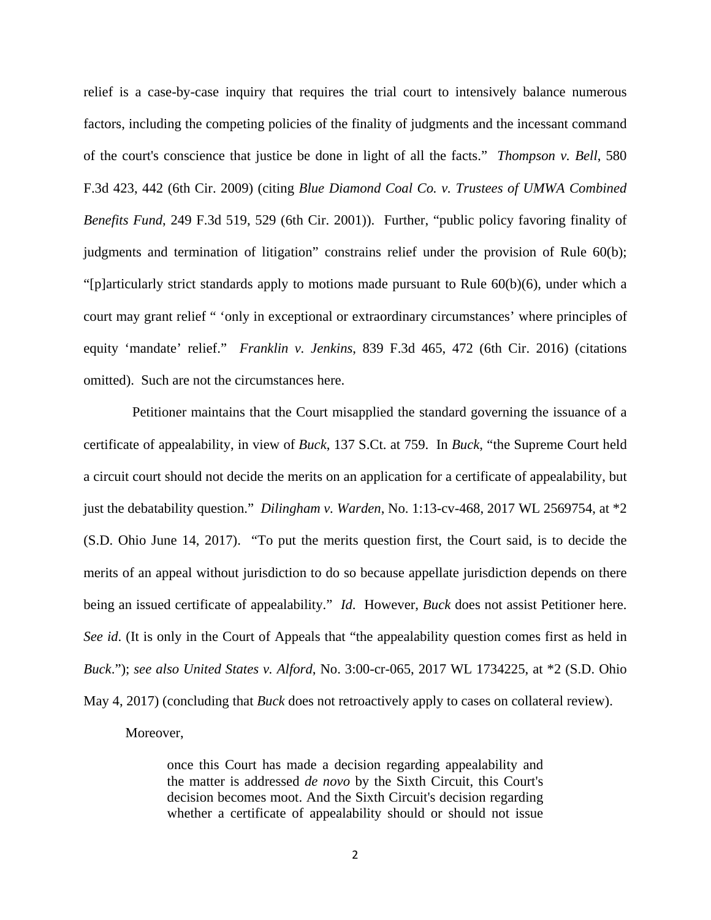relief is a case-by-case inquiry that requires the trial court to intensively balance numerous factors, including the competing policies of the finality of judgments and the incessant command of the court's conscience that justice be done in light of all the facts." *Thompson v. Bell*, 580 F.3d 423, 442 (6th Cir. 2009) (citing *Blue Diamond Coal Co. v. Trustees of UMWA Combined Benefits Fund*, 249 F.3d 519, 529 (6th Cir. 2001)). Further, "public policy favoring finality of judgments and termination of litigation" constrains relief under the provision of Rule 60(b); "[p]articularly strict standards apply to motions made pursuant to Rule  $60(b)(6)$ , under which a court may grant relief " 'only in exceptional or extraordinary circumstances' where principles of equity 'mandate' relief." *Franklin v. Jenkins*, 839 F.3d 465, 472 (6th Cir. 2016) (citations omitted). Such are not the circumstances here.

 Petitioner maintains that the Court misapplied the standard governing the issuance of a certificate of appealability, in view of *Buck*, 137 S.Ct. at 759. In *Buck*, "the Supreme Court held a circuit court should not decide the merits on an application for a certificate of appealability, but just the debatability question." *Dilingham v. Warden*, No. 1:13-cv-468, 2017 WL 2569754, at \*2 (S.D. Ohio June 14, 2017). "To put the merits question first, the Court said, is to decide the merits of an appeal without jurisdiction to do so because appellate jurisdiction depends on there being an issued certificate of appealability." *Id*. However, *Buck* does not assist Petitioner here. *See id.* (It is only in the Court of Appeals that "the appealability question comes first as held in *Buck*."); *see also United States v. Alford*, No. 3:00-cr-065, 2017 WL 1734225, at \*2 (S.D. Ohio May 4, 2017) (concluding that *Buck* does not retroactively apply to cases on collateral review).

Moreover,

once this Court has made a decision regarding appealability and the matter is addressed *de novo* by the Sixth Circuit, this Court's decision becomes moot. And the Sixth Circuit's decision regarding whether a certificate of appealability should or should not issue